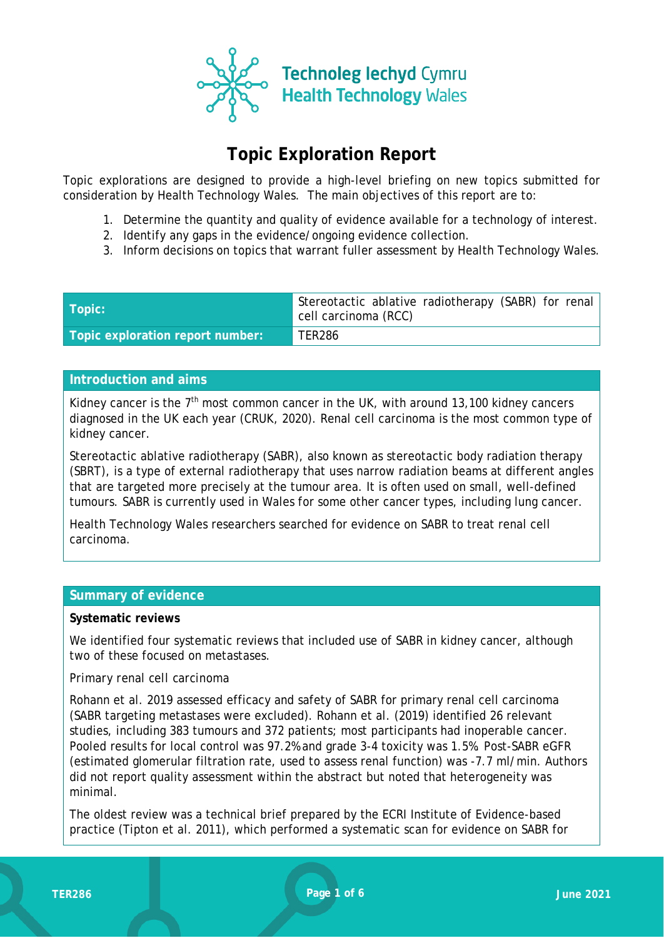

# **Topic Exploration Report**

Topic explorations are designed to provide a high-level briefing on new topics submitted for consideration by Health Technology Wales. The main objectives of this report are to:

- 1. Determine the quantity and quality of evidence available for a technology of interest.
- 2. Identify any gaps in the evidence/ongoing evidence collection.
- 3. Inform decisions on topics that warrant fuller assessment by Health Technology Wales.

| Topic:                           | Stereotactic ablative radiotherapy (SABR) for renal<br>cell carcinoma (RCC) |
|----------------------------------|-----------------------------------------------------------------------------|
| Topic exploration report number: | <b>TER286</b>                                                               |

### **Introduction and aims**

Kidney cancer is the  $7<sup>th</sup>$  most common cancer in the UK, with around 13,100 kidney cancers diagnosed in the UK each year (CRUK, 2020). Renal cell carcinoma is the most common type of kidney cancer.

Stereotactic ablative radiotherapy (SABR), also known as stereotactic body radiation therapy (SBRT), is a type of external radiotherapy that uses narrow radiation beams at different angles that are targeted more precisely at the tumour area. It is often used on small, well-defined tumours. SABR is currently used in Wales for some other cancer types, including lung cancer.

Health Technology Wales researchers searched for evidence on SABR to treat renal cell carcinoma.

#### **Summary of evidence**

#### **Systematic reviews**

We identified four systematic reviews that included use of SABR in kidney cancer, although two of these focused on metastases.

#### *Primary renal cell carcinoma*

Rohann et al. 2019 assessed efficacy and safety of SABR for primary renal cell carcinoma (SABR targeting metastases were excluded). Rohann et al. (2019) identified 26 relevant studies, including 383 tumours and 372 patients; most participants had inoperable cancer. Pooled results for local control was 97.2% and grade 3-4 toxicity was 1.5%. Post-SABR eGFR (estimated glomerular filtration rate, used to assess renal function) was -7.7 ml/min. Authors did not report quality assessment within the abstract but noted that heterogeneity was minimal.

The oldest review was a technical brief prepared by the ECRI Institute of Evidence-based practice (Tipton et al. 2011), which performed a systematic scan for evidence on SABR for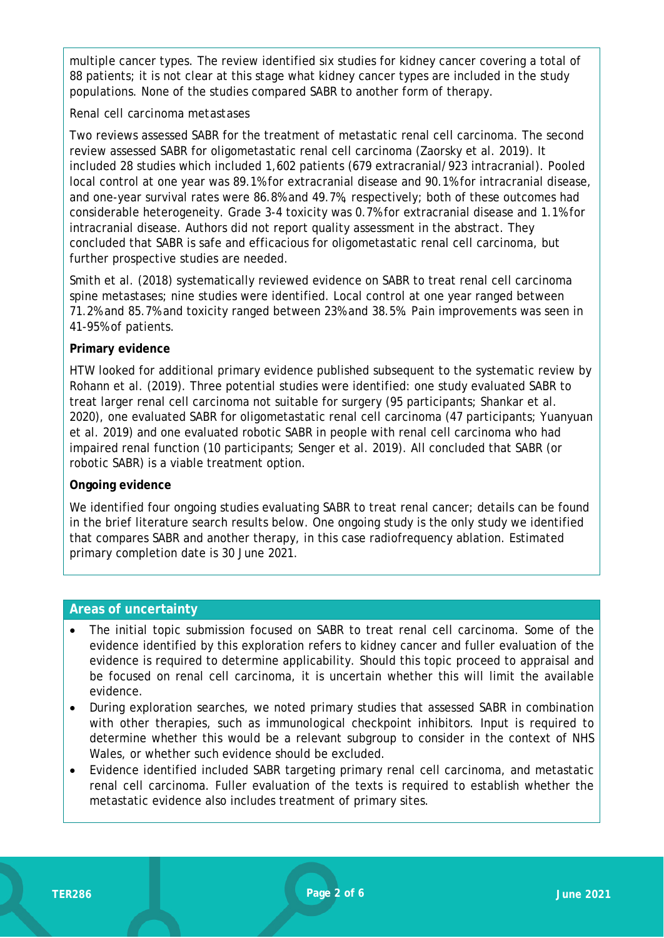multiple cancer types. The review identified six studies for kidney cancer covering a total of 88 patients; it is not clear at this stage what kidney cancer types are included in the study populations. None of the studies compared SABR to another form of therapy.

#### *Renal cell carcinoma metastases*

Two reviews assessed SABR for the treatment of metastatic renal cell carcinoma. The second review assessed SABR for oligometastatic renal cell carcinoma (Zaorsky et al. 2019). It included 28 studies which included 1,602 patients (679 extracranial/923 intracranial). Pooled local control at one year was 89.1% for extracranial disease and 90.1% for intracranial disease, and one-year survival rates were 86.8% and 49.7%, respectively; both of these outcomes had considerable heterogeneity. Grade 3-4 toxicity was 0.7% for extracranial disease and 1.1% for intracranial disease. Authors did not report quality assessment in the abstract. They concluded that SABR is safe and efficacious for oligometastatic renal cell carcinoma, but further prospective studies are needed.

Smith et al. (2018) systematically reviewed evidence on SABR to treat renal cell carcinoma spine metastases; nine studies were identified. Local control at one year ranged between 71.2% and 85.7% and toxicity ranged between 23% and 38.5%. Pain improvements was seen in 41-95% of patients.

#### **Primary evidence**

HTW looked for additional primary evidence published subsequent to the systematic review by Rohann et al. (2019). Three potential studies were identified: one study evaluated SABR to treat larger renal cell carcinoma not suitable for surgery (95 participants; Shankar et al. 2020), one evaluated SABR for oligometastatic renal cell carcinoma (47 participants; Yuanyuan et al. 2019) and one evaluated robotic SABR in people with renal cell carcinoma who had impaired renal function (10 participants; Senger et al. 2019). All concluded that SABR (or robotic SABR) is a viable treatment option.

#### **Ongoing evidence**

We identified four ongoing studies evaluating SABR to treat renal cancer; details can be found in the brief literature search results below. One ongoing study is the only study we identified that compares SABR and another therapy, in this case radiofrequency ablation. Estimated primary completion date is 30 June 2021.

#### **Areas of uncertainty**

- The initial topic submission focused on SABR to treat renal cell carcinoma. Some of the evidence identified by this exploration refers to kidney cancer and fuller evaluation of the evidence is required to determine applicability. Should this topic proceed to appraisal and be focused on renal cell carcinoma, it is uncertain whether this will limit the available evidence.
- During exploration searches, we noted primary studies that assessed SABR in combination with other therapies, such as immunological checkpoint inhibitors. Input is required to determine whether this would be a relevant subgroup to consider in the context of NHS Wales, or whether such evidence should be excluded.
- Evidence identified included SABR targeting primary renal cell carcinoma, and metastatic renal cell carcinoma. Fuller evaluation of the texts is required to establish whether the metastatic evidence also includes treatment of primary sites.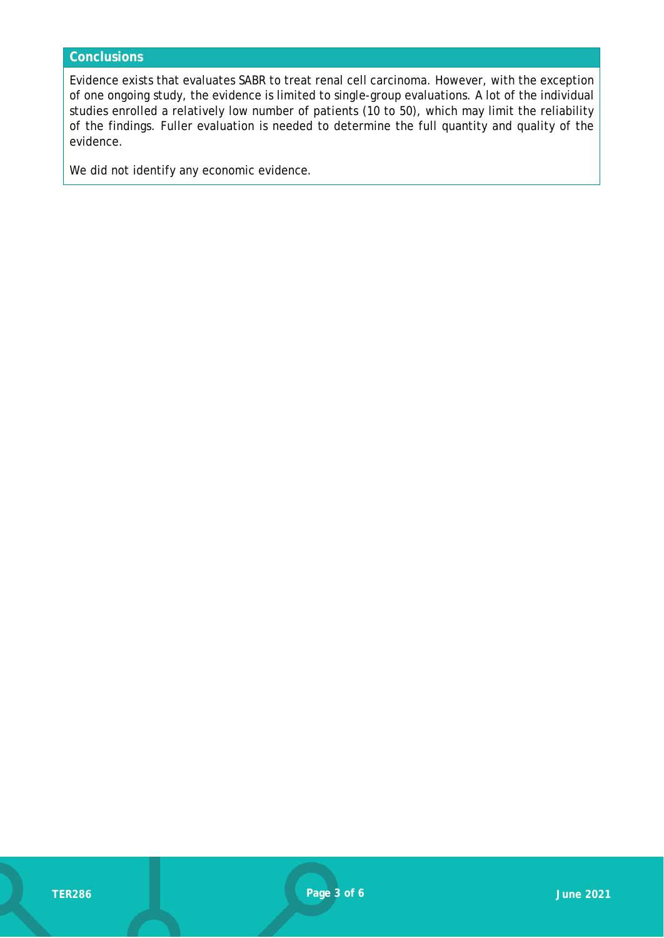## **Conclusions**

Evidence exists that evaluates SABR to treat renal cell carcinoma. However, with the exception of one ongoing study, the evidence is limited to single-group evaluations. A lot of the individual studies enrolled a relatively low number of patients (10 to 50), which may limit the reliability of the findings. Fuller evaluation is needed to determine the full quantity and quality of the evidence.

We did not identify any economic evidence.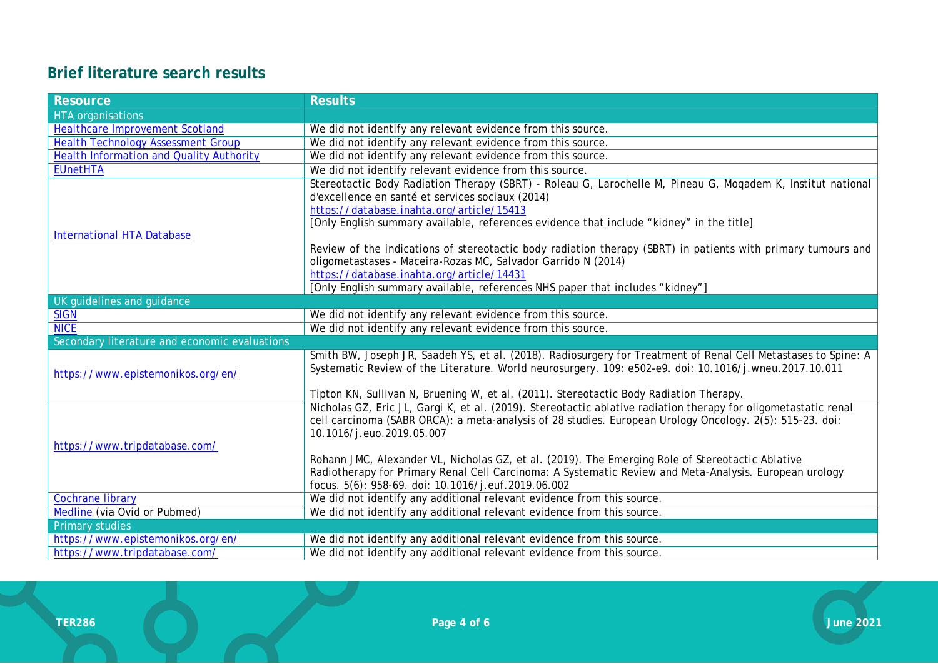# **Brief literature search results**

| <b>Resource</b>                                 | <b>Results</b>                                                                                                  |
|-------------------------------------------------|-----------------------------------------------------------------------------------------------------------------|
| <b>HTA</b> organisations                        |                                                                                                                 |
| <b>Healthcare Improvement Scotland</b>          | We did not identify any relevant evidence from this source.                                                     |
| <b>Health Technology Assessment Group</b>       | We did not identify any relevant evidence from this source.                                                     |
| <b>Health Information and Quality Authority</b> | We did not identify any relevant evidence from this source.                                                     |
| <b>EUnetHTA</b>                                 | We did not identify relevant evidence from this source.                                                         |
|                                                 | Stereotactic Body Radiation Therapy (SBRT) - Roleau G, Larochelle M, Pineau G, Mogadem K, Institut national     |
|                                                 | d'excellence en santé et services sociaux (2014)                                                                |
|                                                 | https://database.inahta.org/article/15413                                                                       |
|                                                 | [Only English summary available, references evidence that include "kidney" in the title]                        |
| <b>International HTA Database</b>               |                                                                                                                 |
|                                                 | Review of the indications of stereotactic body radiation therapy (SBRT) in patients with primary tumours and    |
|                                                 | oligometastases - Maceira-Rozas MC, Salvador Garrido N (2014)                                                   |
|                                                 | https://database.inahta.org/article/14431                                                                       |
|                                                 | [Only English summary available, references NHS paper that includes "kidney"]                                   |
| UK guidelines and guidance                      |                                                                                                                 |
| <b>SIGN</b>                                     | We did not identify any relevant evidence from this source.                                                     |
| <b>NICE</b>                                     | We did not identify any relevant evidence from this source.                                                     |
| Secondary literature and economic evaluations   |                                                                                                                 |
|                                                 | Smith BW, Joseph JR, Saadeh YS, et al. (2018). Radiosurgery for Treatment of Renal Cell Metastases to Spine: A  |
| https://www.epistemonikos.org/en/               | Systematic Review of the Literature. World neurosurgery. 109: e502-e9. doi: 10.1016/j.wneu.2017.10.011          |
|                                                 |                                                                                                                 |
|                                                 | Tipton KN, Sullivan N, Bruening W, et al. (2011). Stereotactic Body Radiation Therapy.                          |
|                                                 | Nicholas GZ, Eric JL, Gargi K, et al. (2019). Stereotactic ablative radiation therapy for oligometastatic renal |
|                                                 | cell carcinoma (SABR ORCA): a meta-analysis of 28 studies. European Urology Oncology. 2(5): 515-23. doi:        |
| https://www.tripdatabase.com/                   | 10.1016/j.euo.2019.05.007                                                                                       |
|                                                 | Rohann JMC, Alexander VL, Nicholas GZ, et al. (2019). The Emerging Role of Stereotactic Ablative                |
|                                                 | Radiotherapy for Primary Renal Cell Carcinoma: A Systematic Review and Meta-Analysis. European urology          |
|                                                 | focus. 5(6): 958-69. doi: 10.1016/j.euf.2019.06.002                                                             |
| <b>Cochrane library</b>                         | We did not identify any additional relevant evidence from this source.                                          |
| Medline (via Ovid or Pubmed)                    | We did not identify any additional relevant evidence from this source.                                          |
| <b>Primary studies</b>                          |                                                                                                                 |
| https://www.epistemonikos.org/en/               | We did not identify any additional relevant evidence from this source.                                          |
| https://www.tripdatabase.com/                   | We did not identify any additional relevant evidence from this source.                                          |
|                                                 |                                                                                                                 |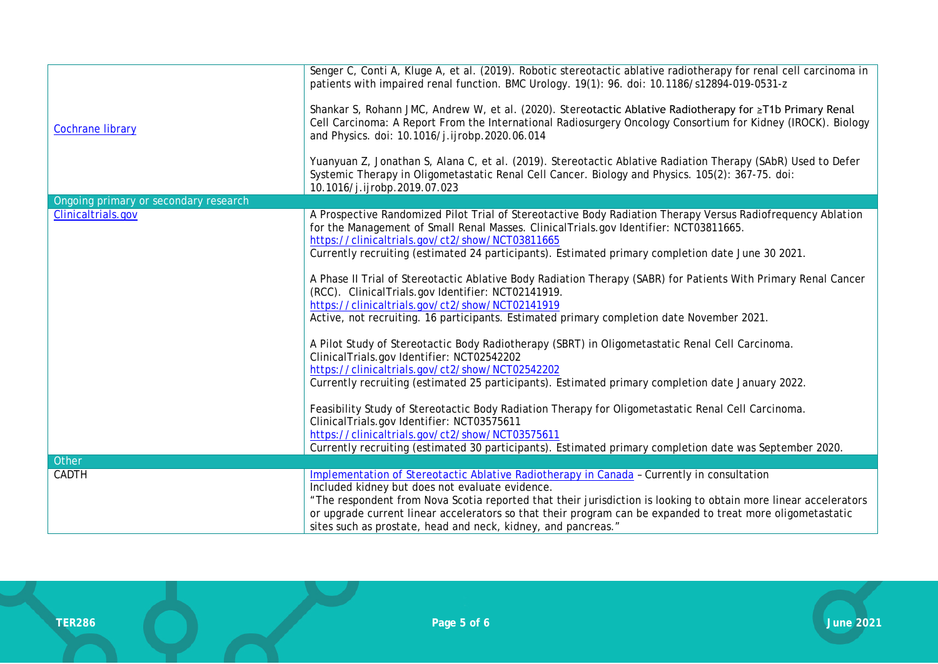| <b>Cochrane library</b>               | Senger C, Conti A, Kluge A, et al. (2019). Robotic stereotactic ablative radiotherapy for renal cell carcinoma in<br>patients with impaired renal function. BMC Urology. 19(1): 96. doi: 10.1186/s12894-019-0531-z<br>Shankar S, Rohann JMC, Andrew W, et al. (2020). Stereotactic Ablative Radiotherapy for ≥T1b Primary Renal<br>Cell Carcinoma: A Report From the International Radiosurgery Oncology Consortium for Kidney (IROCK). Biology<br>and Physics. doi: 10.1016/j.ijrobp.2020.06.014<br>Yuanyuan Z, Jonathan S, Alana C, et al. (2019). Stereotactic Ablative Radiation Therapy (SAbR) Used to Defer<br>Systemic Therapy in Oligometastatic Renal Cell Cancer. Biology and Physics. 105(2): 367-75. doi:<br>10.1016/j.ijrobp.2019.07.023                                                                                                                                                                                                                                                                                                                                                                                                                                                                                                                                                           |
|---------------------------------------|-----------------------------------------------------------------------------------------------------------------------------------------------------------------------------------------------------------------------------------------------------------------------------------------------------------------------------------------------------------------------------------------------------------------------------------------------------------------------------------------------------------------------------------------------------------------------------------------------------------------------------------------------------------------------------------------------------------------------------------------------------------------------------------------------------------------------------------------------------------------------------------------------------------------------------------------------------------------------------------------------------------------------------------------------------------------------------------------------------------------------------------------------------------------------------------------------------------------------------------------------------------------------------------------------------------------|
| Ongoing primary or secondary research |                                                                                                                                                                                                                                                                                                                                                                                                                                                                                                                                                                                                                                                                                                                                                                                                                                                                                                                                                                                                                                                                                                                                                                                                                                                                                                                 |
| Clinicaltrials.gov                    | A Prospective Randomized Pilot Trial of Stereotactive Body Radiation Therapy Versus Radiofrequency Ablation<br>for the Management of Small Renal Masses. ClinicalTrials.gov Identifier: NCT03811665.<br>https://clinicaltrials.gov/ct2/show/NCT03811665<br>Currently recruiting (estimated 24 participants). Estimated primary completion date June 30 2021.<br>A Phase II Trial of Stereotactic Ablative Body Radiation Therapy (SABR) for Patients With Primary Renal Cancer<br>(RCC). ClinicalTrials.gov Identifier: NCT02141919.<br>https://clinicaltrials.gov/ct2/show/NCT02141919<br>Active, not recruiting. 16 participants. Estimated primary completion date November 2021.<br>A Pilot Study of Stereotactic Body Radiotherapy (SBRT) in Oligometastatic Renal Cell Carcinoma.<br>ClinicalTrials.gov Identifier: NCT02542202<br>https://clinicaltrials.gov/ct2/show/NCT02542202<br>Currently recruiting (estimated 25 participants). Estimated primary completion date January 2022.<br>Feasibility Study of Stereotactic Body Radiation Therapy for Oligometastatic Renal Cell Carcinoma.<br>ClinicalTrials.gov Identifier: NCT03575611<br>https://clinicaltrials.gov/ct2/show/NCT03575611<br>Currently recruiting (estimated 30 participants). Estimated primary completion date was September 2020. |
| Other                                 |                                                                                                                                                                                                                                                                                                                                                                                                                                                                                                                                                                                                                                                                                                                                                                                                                                                                                                                                                                                                                                                                                                                                                                                                                                                                                                                 |
| CADTH                                 | Implementation of Stereotactic Ablative Radiotherapy in Canada - Currently in consultation<br>Included kidney but does not evaluate evidence.<br>"The respondent from Nova Scotia reported that their jurisdiction is looking to obtain more linear accelerators<br>or upgrade current linear accelerators so that their program can be expanded to treat more oligometastatic<br>sites such as prostate, head and neck, kidney, and pancreas."                                                                                                                                                                                                                                                                                                                                                                                                                                                                                                                                                                                                                                                                                                                                                                                                                                                                 |